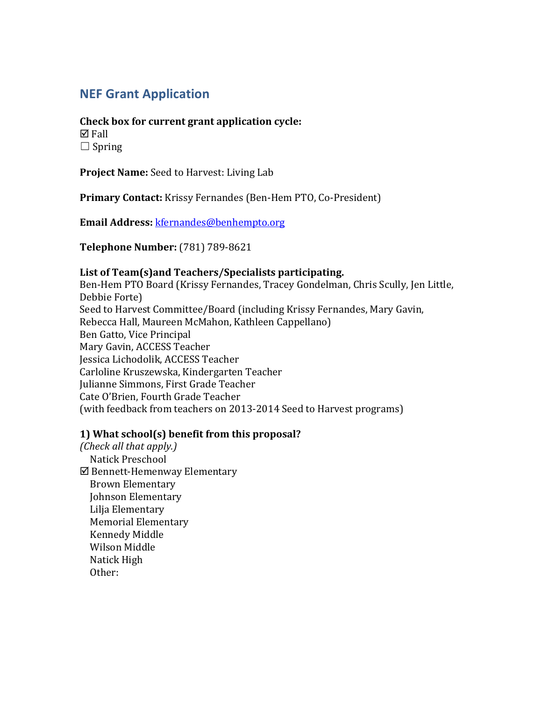# **NEF Grant Application**

#### **Check box for current grant application cycle:**

 $\boxtimes$  Fall  $\Box$  Spring

**Project Name:** Seed to Harvest: Living Lab

**Primary Contact:** Krissy Fernandes (Ben-Hem PTO, Co-President)

**Email Address:** kfernandes@benhempto.org

**Telephone Number:** (781) 789-8621

#### List of Team(s) and Teachers/Specialists participating.

Ben-Hem PTO Board (Krissy Fernandes, Tracey Gondelman, Chris Scully, Jen Little, Debbie Forte) Seed to Harvest Committee/Board (including Krissy Fernandes, Mary Gavin, Rebecca Hall, Maureen McMahon, Kathleen Cappellano) Ben Gatto, Vice Principal Mary Gavin, ACCESS Teacher Jessica Lichodolik, ACCESS Teacher Carloline Kruszewska, Kindergarten Teacher Julianne Simmons, First Grade Teacher Cate O'Brien, Fourth Grade Teacher (with feedback from teachers on 2013-2014 Seed to Harvest programs)

## **1)** What school(s) benefit from this proposal?

*(Check all that apply.)*  Natick Preschool  $\boxtimes$  Bennett-Hemenway Elementary Brown Elementary Johnson Elementary Lilja Elementary Memorial Elementary Kennedy Middle Wilson Middle Natick High Other: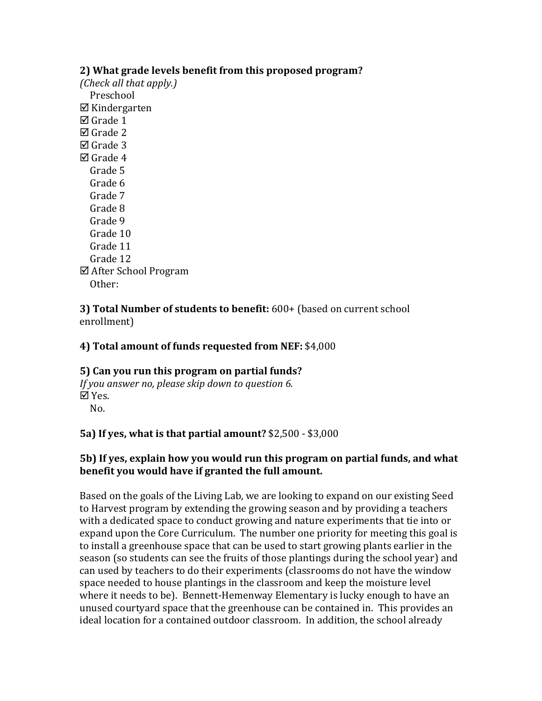# **2)** What grade levels benefit from this proposed program?

*(Check all that apply.)*  Preschool  $\nabla$  Kindergarten  $\boxtimes$  Grade 1  $\boxtimes$  Grade 2  $\nabla$  Grade 3  $\nabla$  Grade 4 Grade 5 Grade 6 Grade 7 Grade 8 Grade 9 Grade 10 Grade 11 Grade 12  $\boxtimes$  After School Program Other:

# **3) Total Number of students to benefit:** 600+ (based on current school enrollment)

# **4) Total amount of funds requested from NEF: \$4,000**

#### **5)** Can you run this program on partial funds? *If* you answer no, please skip down to question 6. þ Yes. No.

## **5a)** If ves, what is that partial amount? \$2,500 - \$3,000

# **5b)** If yes, explain how you would run this program on partial funds, and what **benefit you would have if granted the full amount.**

Based on the goals of the Living Lab, we are looking to expand on our existing Seed to Harvest program by extending the growing season and by providing a teachers with a dedicated space to conduct growing and nature experiments that tie into or expand upon the Core Curriculum. The number one priority for meeting this goal is to install a greenhouse space that can be used to start growing plants earlier in the season (so students can see the fruits of those plantings during the school year) and can used by teachers to do their experiments (classrooms do not have the window space needed to house plantings in the classroom and keep the moisture level where it needs to be). Bennett-Hemenway Elementary is lucky enough to have an unused courtyard space that the greenhouse can be contained in. This provides an ideal location for a contained outdoor classroom. In addition, the school already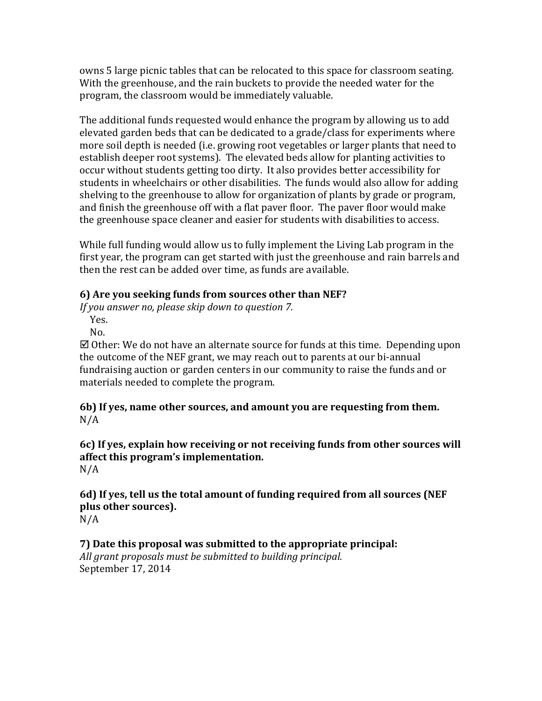owns 5 large picnic tables that can be relocated to this space for classroom seating. With the greenhouse, and the rain buckets to provide the needed water for the program, the classroom would be immediately valuable.

The additional funds requested would enhance the program by allowing us to add elevated garden beds that can be dedicated to a grade/class for experiments where more soil depth is needed (i.e. growing root vegetables or larger plants that need to establish deeper root systems). The elevated beds allow for planting activities to occur without students getting too dirty. It also provides better accessibility for students in wheelchairs or other disabilities. The funds would also allow for adding shelving to the greenhouse to allow for organization of plants by grade or program, and finish the greenhouse off with a flat paver floor. The paver floor would make the greenhouse space cleaner and easier for students with disabilities to access.

While full funding would allow us to fully implement the Living Lab program in the first year, the program can get started with just the greenhouse and rain barrels and then the rest can be added over time, as funds are available.

# **6)** Are you seeking funds from sources other than NEF?

*If* you answer no, please skip down to question 7.

 Yes. No.

 $\boxtimes$  Other: We do not have an alternate source for funds at this time. Depending upon the outcome of the NEF grant, we may reach out to parents at our bi-annual fundraising auction or garden centers in our community to raise the funds and or materials needed to complete the program.

**6b)** If yes, name other sources, and amount you are requesting from them. N/A

#### **6c)** If yes, explain how receiving or not receiving funds from other sources will **affect this program's implementation.** N/A

**6d)** If yes, tell us the total amount of funding required from all sources (NEF plus other sources). N/A

## **7)** Date this proposal was submitted to the appropriate principal: All grant proposals must be submitted to building principal.

September 17, 2014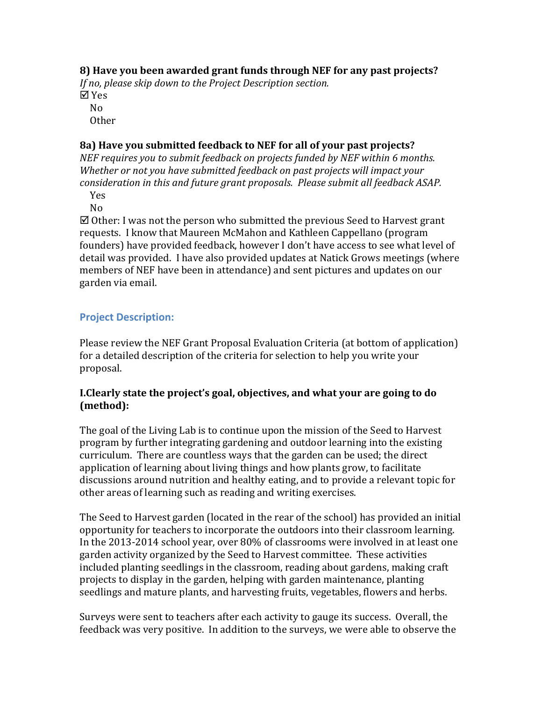# **8)** Have you been awarded grant funds through NEF for any past projects?

*If no, please skip down to the Project Description section.* þ Yes

 No Other

# **8a)** Have you submitted feedback to NEF for all of your past projects?

*NEF requires you to submit feedback on projects funded by NEF within 6 months. Whether or not you have submitted feedback on past projects will impact your consideration in this and future grant proposals. Please submit all feedback ASAP.* 

Yes

No

 $\boxtimes$  Other: I was not the person who submitted the previous Seed to Harvest grant requests. I know that Maureen McMahon and Kathleen Cappellano (program founders) have provided feedback, however I don't have access to see what level of detail was provided. I have also provided updates at Natick Grows meetings (where members of NEF have been in attendance) and sent pictures and updates on our garden via email.

# **Project Description:**

Please review the NEF Grant Proposal Evaluation Criteria (at bottom of application) for a detailed description of the criteria for selection to help you write your proposal.

## **I.Clearly state the project's goal, objectives, and what your are going to do (method):**

The goal of the Living Lab is to continue upon the mission of the Seed to Harvest program by further integrating gardening and outdoor learning into the existing curriculum. There are countless ways that the garden can be used; the direct application of learning about living things and how plants grow, to facilitate discussions around nutrition and healthy eating, and to provide a relevant topic for other areas of learning such as reading and writing exercises.

The Seed to Harvest garden (located in the rear of the school) has provided an initial opportunity for teachers to incorporate the outdoors into their classroom learning. In the 2013-2014 school year, over 80% of classrooms were involved in at least one garden activity organized by the Seed to Harvest committee. These activities included planting seedlings in the classroom, reading about gardens, making craft projects to display in the garden, helping with garden maintenance, planting seedlings and mature plants, and harvesting fruits, vegetables, flowers and herbs.

Surveys were sent to teachers after each activity to gauge its success. Overall, the feedback was very positive. In addition to the surveys, we were able to observe the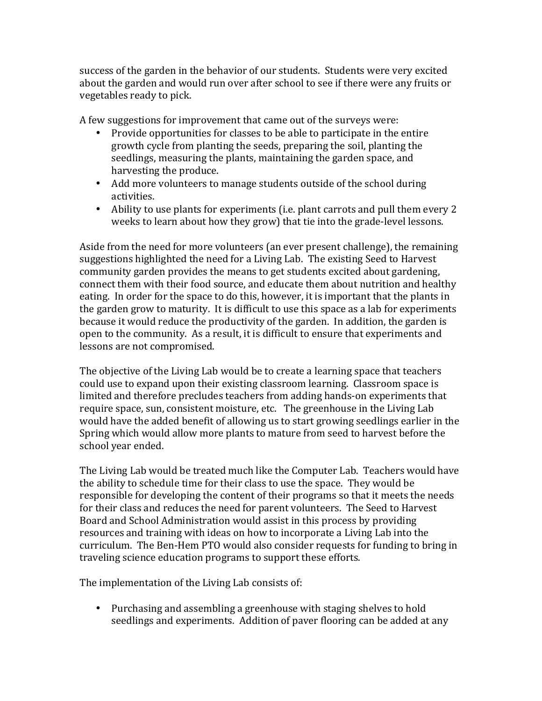success of the garden in the behavior of our students. Students were very excited about the garden and would run over after school to see if there were any fruits or vegetables ready to pick.

A few suggestions for improvement that came out of the surveys were:

- Provide opportunities for classes to be able to participate in the entire growth cycle from planting the seeds, preparing the soil, planting the seedlings, measuring the plants, maintaining the garden space, and harvesting the produce.
- Add more volunteers to manage students outside of the school during activities.
- Ability to use plants for experiments (i.e. plant carrots and pull them every 2 weeks to learn about how they grow) that tie into the grade-level lessons.

Aside from the need for more volunteers (an ever present challenge), the remaining suggestions highlighted the need for a Living Lab. The existing Seed to Harvest community garden provides the means to get students excited about gardening, connect them with their food source, and educate them about nutrition and healthy eating. In order for the space to do this, however, it is important that the plants in the garden grow to maturity. It is difficult to use this space as a lab for experiments because it would reduce the productivity of the garden. In addition, the garden is open to the community. As a result, it is difficult to ensure that experiments and lessons are not compromised.

The objective of the Living Lab would be to create a learning space that teachers could use to expand upon their existing classroom learning. Classroom space is limited and therefore precludes teachers from adding hands-on experiments that require space, sun, consistent moisture, etc. The greenhouse in the Living Lab would have the added benefit of allowing us to start growing seedlings earlier in the Spring which would allow more plants to mature from seed to harvest before the school year ended.

The Living Lab would be treated much like the Computer Lab. Teachers would have the ability to schedule time for their class to use the space. They would be responsible for developing the content of their programs so that it meets the needs for their class and reduces the need for parent volunteers. The Seed to Harvest Board and School Administration would assist in this process by providing resources and training with ideas on how to incorporate a Living Lab into the curriculum. The Ben-Hem PTO would also consider requests for funding to bring in traveling science education programs to support these efforts.

The implementation of the Living Lab consists of:

• Purchasing and assembling a greenhouse with staging shelves to hold seedlings and experiments. Addition of paver flooring can be added at any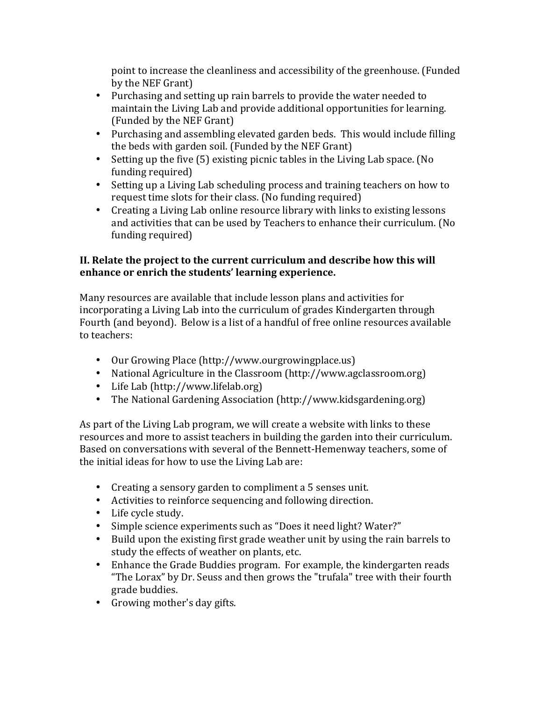point to increase the cleanliness and accessibility of the greenhouse. (Funded by the NEF Grant)

- Purchasing and setting up rain barrels to provide the water needed to maintain the Living Lab and provide additional opportunities for learning. (Funded by the NEF Grant)
- Purchasing and assembling elevated garden beds. This would include filling the beds with garden soil. (Funded by the NEF Grant)
- Setting up the five  $(5)$  existing picnic tables in the Living Lab space. (No funding required)
- Setting up a Living Lab scheduling process and training teachers on how to request time slots for their class. (No funding required)
- Creating a Living Lab online resource library with links to existing lessons and activities that can be used by Teachers to enhance their curriculum. (No funding required)

# **II.** Relate the project to the current curriculum and describe how this will enhance or enrich the students' learning experience.

Many resources are available that include lesson plans and activities for incorporating a Living Lab into the curriculum of grades Kindergarten through Fourth (and beyond). Below is a list of a handful of free online resources available to teachers:

- Our Growing Place (http://www.ourgrowingplace.us)
- National Agriculture in the Classroom (http://www.agclassroom.org)
- Life Lab (http://www.lifelab.org)
- The National Gardening Association (http://www.kidsgardening.org)

As part of the Living Lab program, we will create a website with links to these resources and more to assist teachers in building the garden into their curriculum. Based on conversations with several of the Bennett-Hemenway teachers, some of the initial ideas for how to use the Living Lab are:

- Creating a sensory garden to compliment a 5 senses unit.
- Activities to reinforce sequencing and following direction.
- Life cycle study.
- Simple science experiments such as "Does it need light? Water?"
- Build upon the existing first grade weather unit by using the rain barrels to study the effects of weather on plants, etc.
- Enhance the Grade Buddies program. For example, the kindergarten reads "The Lorax" by Dr. Seuss and then grows the "trufala" tree with their fourth grade buddies.
- Growing mother's day gifts.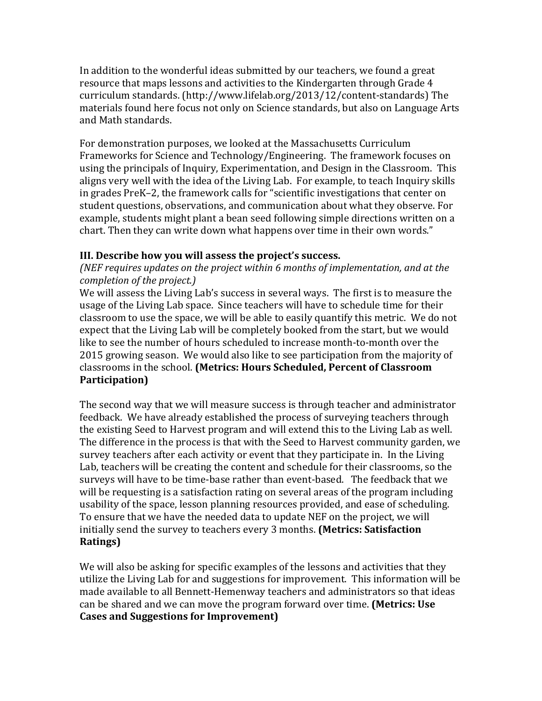In addition to the wonderful ideas submitted by our teachers, we found a great resource that maps lessons and activities to the Kindergarten through Grade 4 curriculum standards. (http://www.lifelab.org/2013/12/content-standards) The materials found here focus not only on Science standards, but also on Language Arts and Math standards.

For demonstration purposes, we looked at the Massachusetts Curriculum Frameworks for Science and Technology/Engineering. The framework focuses on using the principals of Inquiry, Experimentation, and Design in the Classroom. This aligns very well with the idea of the Living Lab. For example, to teach Inquiry skills in grades PreK–2, the framework calls for "scientific investigations that center on student questions, observations, and communication about what they observe. For example, students might plant a bean seed following simple directions written on a chart. Then they can write down what happens over time in their own words."

## **III.** Describe how you will assess the project's success.

*(NEF requires updates on the project within 6 months of implementation, and at the completion of the project.*)

We will assess the Living Lab's success in several ways. The first is to measure the usage of the Living Lab space. Since teachers will have to schedule time for their classroom to use the space, we will be able to easily quantify this metric. We do not expect that the Living Lab will be completely booked from the start, but we would like to see the number of hours scheduled to increase month-to-month over the 2015 growing season. We would also like to see participation from the majority of classrooms in the school. (Metrics: Hours Scheduled, Percent of Classroom **Participation)**

The second way that we will measure success is through teacher and administrator feedback. We have already established the process of surveying teachers through the existing Seed to Harvest program and will extend this to the Living Lab as well. The difference in the process is that with the Seed to Harvest community garden, we survey teachers after each activity or event that they participate in. In the Living Lab, teachers will be creating the content and schedule for their classrooms, so the surveys will have to be time-base rather than event-based. The feedback that we will be requesting is a satisfaction rating on several areas of the program including usability of the space, lesson planning resources provided, and ease of scheduling. To ensure that we have the needed data to update NEF on the project, we will initially send the survey to teachers every 3 months. **(Metrics: Satisfaction Ratings)**

We will also be asking for specific examples of the lessons and activities that they utilize the Living Lab for and suggestions for improvement. This information will be made available to all Bennett-Hemenway teachers and administrators so that ideas can be shared and we can move the program forward over time. **(Metrics: Use Cases and Suggestions for Improvement)**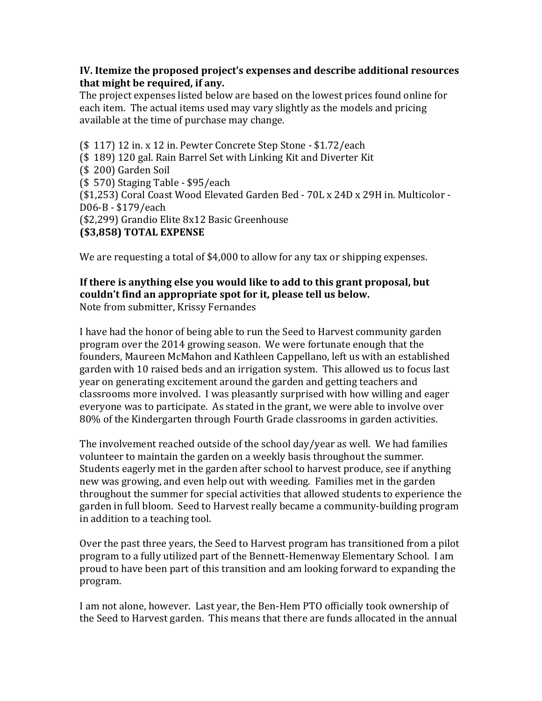# **IV.** Itemize the proposed project's expenses and describe additional resources that might be required, if any.

The project expenses listed below are based on the lowest prices found online for each item. The actual items used may vary slightly as the models and pricing available at the time of purchase may change.

 $($ 117) 12 in x 12 in.$  Pewter Concrete Step Stone -  $$1.72/each$ (\$189) 120 gal. Rain Barrel Set with Linking Kit and Diverter Kit (\$ 200) Garden Soil  $(S 570)$  Staging Table - \$95/each (\$1,253) Coral Coast Wood Elevated Garden Bed - 70L x 24D x 29H in. Multicolor -D06-B - \$179/each (\$2,299) Grandio Elite 8x12 Basic Greenhouse **(\$3,858) TOTAL EXPENSE** 

We are requesting a total of \$4,000 to allow for any tax or shipping expenses.

#### If there is anything else you would like to add to this grant proposal, but couldn't find an appropriate spot for it, please tell us below. Note from submitter, Krissy Fernandes

I have had the honor of being able to run the Seed to Harvest community garden program over the 2014 growing season. We were fortunate enough that the founders, Maureen McMahon and Kathleen Cappellano, left us with an established garden with 10 raised beds and an irrigation system. This allowed us to focus last year on generating excitement around the garden and getting teachers and classrooms more involved. I was pleasantly surprised with how willing and eager everyone was to participate. As stated in the grant, we were able to involve over 80% of the Kindergarten through Fourth Grade classrooms in garden activities.

The involvement reached outside of the school day/year as well. We had families volunteer to maintain the garden on a weekly basis throughout the summer. Students eagerly met in the garden after school to harvest produce, see if anything new was growing, and even help out with weeding. Families met in the garden throughout the summer for special activities that allowed students to experience the garden in full bloom. Seed to Harvest really became a community-building program in addition to a teaching tool.

Over the past three years, the Seed to Harvest program has transitioned from a pilot program to a fully utilized part of the Bennett-Hemenway Elementary School. I am proud to have been part of this transition and am looking forward to expanding the program. 

I am not alone, however. Last year, the Ben-Hem PTO officially took ownership of the Seed to Harvest garden. This means that there are funds allocated in the annual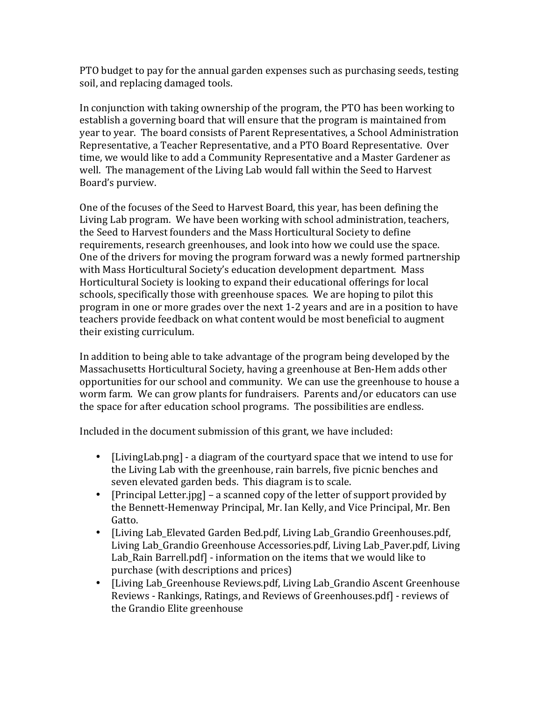PTO budget to pay for the annual garden expenses such as purchasing seeds, testing soil, and replacing damaged tools.

In conjunction with taking ownership of the program, the PTO has been working to establish a governing board that will ensure that the program is maintained from year to year. The board consists of Parent Representatives, a School Administration Representative, a Teacher Representative, and a PTO Board Representative. Over time, we would like to add a Community Representative and a Master Gardener as well. The management of the Living Lab would fall within the Seed to Harvest Board's purview.

One of the focuses of the Seed to Harvest Board, this year, has been defining the Living Lab program. We have been working with school administration, teachers, the Seed to Harvest founders and the Mass Horticultural Society to define requirements, research greenhouses, and look into how we could use the space. One of the drivers for moving the program forward was a newly formed partnership with Mass Horticultural Society's education development department. Mass Horticultural Society is looking to expand their educational offerings for local schools, specifically those with greenhouse spaces. We are hoping to pilot this program in one or more grades over the next 1-2 years and are in a position to have teachers provide feedback on what content would be most beneficial to augment their existing curriculum.

In addition to being able to take advantage of the program being developed by the Massachusetts Horticultural Society, having a greenhouse at Ben-Hem adds other opportunities for our school and community. We can use the greenhouse to house a worm farm. We can grow plants for fundraisers. Parents and/or educators can use the space for after education school programs. The possibilities are endless.

Included in the document submission of this grant, we have included:

- [LivingLab.png] a diagram of the courtyard space that we intend to use for the Living Lab with the greenhouse, rain barrels, five picnic benches and seven elevated garden beds. This diagram is to scale.
- [Principal Letter.jpg] a scanned copy of the letter of support provided by the Bennett-Hemenway Principal, Mr. Ian Kelly, and Vice Principal, Mr. Ben Gatto.
- [Living Lab\_Elevated Garden Bed.pdf, Living Lab\_Grandio Greenhouses.pdf, Living Lab Grandio Greenhouse Accessories.pdf, Living Lab Paver.pdf, Living Lab Rain Barrell.pdf] - information on the items that we would like to purchase (with descriptions and prices)
- [Living Lab Greenhouse Reviews.pdf, Living Lab Grandio Ascent Greenhouse Reviews - Rankings, Ratings, and Reviews of Greenhouses.pdf - reviews of the Grandio Elite greenhouse